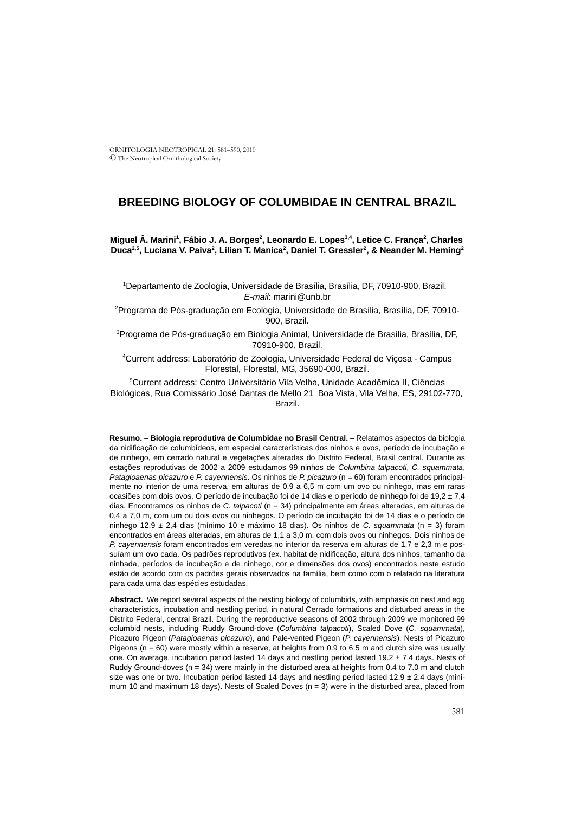# **BREEDING BIOLOGY OF COLUMBIDAE IN CENTRAL BRAZIL**

Miguel Â. Marini<sup>1</sup>, Fábio J. A. Borges<sup>2</sup>, Leonardo E. Lopes<sup>3,4</sup>, Letice C. França<sup>2</sup>, Charles Duca<sup>2,5</sup>, Luciana V. Paiva<sup>2</sup>, Lilian T. Manica<sup>2</sup>, Daniel T. Gressler<sup>2</sup>, & Neander M. Heming<sup>2</sup>

1 Departamento de Zoologia, Universidade de Brasília, Brasília, DF, 70910-900, Brazil. *E-mail*: marini@unb.br

2 Programa de Pós-graduação em Ecologia, Universidade de Brasília, Brasília, DF, 70910- 900, Brazil.

<sup>3</sup>Programa de Pós-graduação em Biologia Animal, Universidade de Brasília, Brasília, DF, 70910-900, Brazil.

4 Current address: Laboratório de Zoologia, Universidade Federal de Viçosa - Campus Florestal, Florestal, MG, 35690-000, Brazil.

5 Current address: Centro Universitário Vila Velha, Unidade Acadêmica II, Ciências Biológicas, Rua Comissário José Dantas de Mello 21 Boa Vista, Vila Velha, ES, 29102-770, Brazil.

**Resumo. – Biologia reprodutiva de Columbidae no Brasil Central. –** Relatamos aspectos da biologia da nidificação de columbídeos, em especial características dos ninhos e ovos, período de incubação e de ninhego, em cerrado natural e vegetações alteradas do Distrito Federal, Brasil central. Durante as estações reprodutivas de 2002 a 2009 estudamos 99 ninhos de *Columbina talpacoti*, *C. squammata*, *Patagioaenas picazuro* e *P. cayennensis*. Os ninhos de *P. picazuro* (n = 60) foram encontrados principalmente no interior de uma reserva, em alturas de 0,9 a 6,5 m com um ovo ou ninhego, mas em raras ocasiões com dois ovos. O período de incubação foi de 14 dias e o período de ninhego foi de 19,2 ± 7,4 dias. Encontramos os ninhos de *C. talpacoti* (n = 34) principalmente em áreas alteradas, em alturas de 0,4 a 7,0 m, com um ou dois ovos ou ninhegos. O período de incubação foi de 14 dias e o período de ninhego 12,9 ± 2,4 dias (mínimo 10 e máximo 18 dias). Os ninhos de *C. squammata* (n = 3) foram encontrados em áreas alteradas, em alturas de 1,1 a 3,0 m, com dois ovos ou ninhegos. Dois ninhos de *P. cayennensis* foram encontrados em veredas no interior da reserva em alturas de 1,7 e 2,3 m e possuíam um ovo cada. Os padrões reprodutivos (ex. habitat de nidificação, altura dos ninhos, tamanho da ninhada, períodos de incubação e de ninhego, cor e dimensões dos ovos) encontrados neste estudo estão de acordo com os padrões gerais observados na família, bem como com o relatado na literatura para cada uma das espécies estudadas.

**Abstract.** We report several aspects of the nesting biology of columbids, with emphasis on nest and egg characteristics, incubation and nestling period, in natural Cerrado formations and disturbed areas in the Distrito Federal, central Brazil. During the reproductive seasons of 2002 through 2009 we monitored 99 columbid nests, including Ruddy Ground-dove (*Columbina talpacoti*), Scaled Dove (*C. squammata*), Picazuro Pigeon (*Patagioaenas picazuro*), and Pale-vented Pigeon (*P. cayennensis*). Nests of Picazuro Pigeons (n = 60) were mostly within a reserve, at heights from 0.9 to 6.5 m and clutch size was usually one. On average, incubation period lasted 14 days and nestling period lasted 19.2 ± 7.4 days. Nests of Ruddy Ground-doves ( $n = 34$ ) were mainly in the disturbed area at heights from 0.4 to 7.0 m and clutch size was one or two. Incubation period lasted 14 days and nestling period lasted 12.9  $\pm$  2.4 days (minimum 10 and maximum 18 days). Nests of Scaled Doves (n = 3) were in the disturbed area, placed from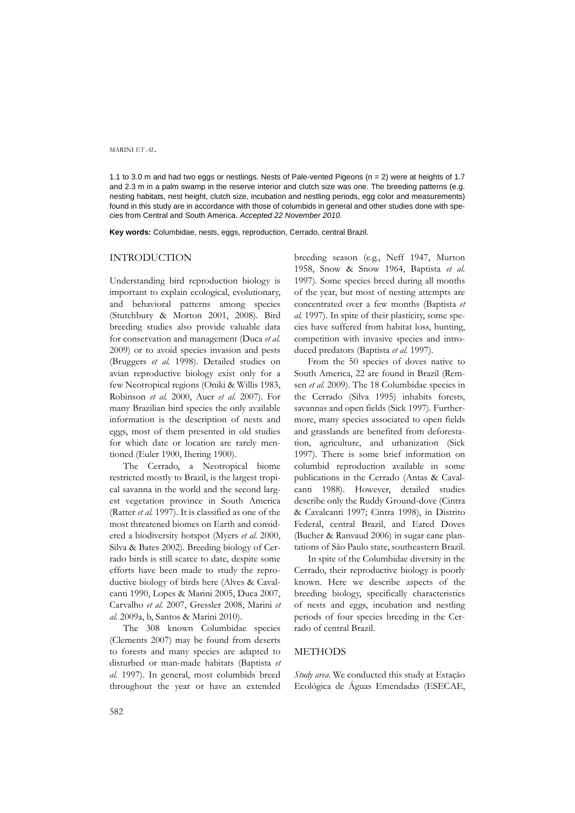1.1 to 3.0 m and had two eggs or nestlings. Nests of Pale-vented Pigeons (n = 2) were at heights of 1.7 and 2.3 m in a palm swamp in the reserve interior and clutch size was one. The breeding patterns (e.g. nesting habitats, nest height, clutch size, incubation and nestling periods, egg color and measurements) found in this study are in accordance with those of columbids in general and other studies done with species from Central and South America. *Accepted 22 November 2010.*

**Key words:** Columbidae, nests, eggs, reproduction, Cerrado, central Brazil.

## INTRODUCTION

Understanding bird reproduction biology is important to explain ecological, evolutionary, and behavioral patterns among species (Stutchbury & Morton 2001, 2008). Bird breeding studies also provide valuable data for conservation and management (Duca *et al.* 2009) or to avoid species invasion and pests (Bruggers *et al.* 1998). Detailed studies on avian reproductive biology exist only for a few Neotropical regions (Oniki & Willis 1983, Robinson *et al.* 2000, Auer *et al.* 2007). For many Brazilian bird species the only available information is the description of nests and eggs, most of them presented in old studies for which date or location are rarely mentioned (Euler 1900, Ihering 1900).

The Cerrado, a Neotropical biome restricted mostly to Brazil, is the largest tropical savanna in the world and the second largest vegetation province in South America (Ratter *et al.* 1997). It is classified as one of the most threatened biomes on Earth and considered a biodiversity hotspot (Myers *et al.* 2000, Silva & Bates 2002). Breeding biology of Cerrado birds is still scarce to date, despite some efforts have been made to study the reproductive biology of birds here (Alves & Cavalcanti 1990, Lopes & Marini 2005, Duca 2007, Carvalho *et al.* 2007, Gressler 2008, Marini *et al.* 2009a, b, Santos & Marini 2010).

The 308 known Columbidae species (Clements 2007) may be found from deserts to forests and many species are adapted to disturbed or man-made habitats (Baptista *et al.* 1997). In general, most columbids breed throughout the year or have an extended breeding season (e.g., Neff 1947, Murton 1958, Snow & Snow 1964, Baptista *et al.* 1997). Some species breed during all months of the year, but most of nesting attempts are concentrated over a few months (Baptista *et al.* 1997). In spite of their plasticity, some species have suffered from habitat loss, hunting, competition with invasive species and introduced predators (Baptista *et al.* 1997).

From the 50 species of doves native to South America, 22 are found in Brazil (Remsen *et al.* 2009). The 18 Columbidae species in the Cerrado (Silva 1995) inhabits forests, savannas and open fields (Sick 1997). Furthermore, many species associated to open fields and grasslands are benefited from deforestation, agriculture, and urbanization (Sick 1997). There is some brief information on columbid reproduction available in some publications in the Cerrado (Antas & Cavalcanti 1988). However, detailed studies describe only the Ruddy Ground-dove (Cintra & Cavalcanti 1997; Cintra 1998), in Distrito Federal, central Brazil, and Eared Doves (Bucher & Ranvaud 2006) in sugar cane plantations of São Paulo state, southeastern Brazil.

In spite of the Columbidae diversity in the Cerrado, their reproductive biology is poorly known. Here we describe aspects of the breeding biology, specifically characteristics of nests and eggs, incubation and nestling periods of four species breeding in the Cerrado of central Brazil.

## METHODS

*Study area*. We conducted this study at Estação Ecológica de Águas Emendadas (ESECAE,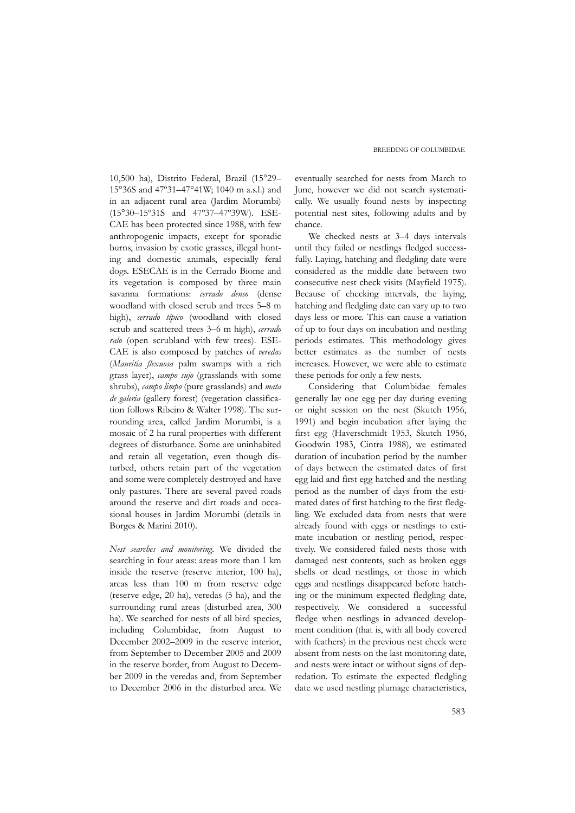10,500 ha), Distrito Federal, Brazil (15°29– 15°36S and 47º31–47°41W; 1040 m a.s.l.) and in an adjacent rural area (Jardim Morumbi) (15°30–15º31S and 47º37–47º39W). ESE-CAE has been protected since 1988, with few anthropogenic impacts, except for sporadic burns, invasion by exotic grasses, illegal hunting and domestic animals, especially feral dogs. ESECAE is in the Cerrado Biome and its vegetation is composed by three main savanna formations: *cerrado denso* (dense woodland with closed scrub and trees 5–8 m high), *cerrado típico* (woodland with closed scrub and scattered trees 3–6 m high), *cerrado ralo* (open scrubland with few trees). ESE-CAE is also composed by patches of *veredas* (*Mauritia flexuosa* palm swamps with a rich grass layer), *campo sujo* (grasslands with some shrubs), *campo limpo* (pure grasslands) and *mata de galeria* (gallery forest) (vegetation classification follows Ribeiro & Walter 1998). The surrounding area, called Jardim Morumbi, is a mosaic of 2 ha rural properties with different degrees of disturbance. Some are uninhabited and retain all vegetation, even though disturbed, others retain part of the vegetation and some were completely destroyed and have only pastures. There are several paved roads around the reserve and dirt roads and occasional houses in Jardim Morumbi (details in Borges & Marini 2010).

*Nest searches and monitoring.* We divided the searching in four areas: areas more than 1 km inside the reserve (reserve interior, 100 ha), areas less than 100 m from reserve edge (reserve edge, 20 ha), veredas (5 ha), and the surrounding rural areas (disturbed area, 300 ha). We searched for nests of all bird species, including Columbidae, from August to December 2002–2009 in the reserve interior, from September to December 2005 and 2009 in the reserve border, from August to December 2009 in the veredas and, from September to December 2006 in the disturbed area. We eventually searched for nests from March to June, however we did not search systematically. We usually found nests by inspecting potential nest sites, following adults and by chance.

We checked nests at 3–4 days intervals until they failed or nestlings fledged successfully. Laying, hatching and fledgling date were considered as the middle date between two consecutive nest check visits (Mayfield 1975). Because of checking intervals, the laying, hatching and fledgling date can vary up to two days less or more. This can cause a variation of up to four days on incubation and nestling periods estimates. This methodology gives better estimates as the number of nests increases. However, we were able to estimate these periods for only a few nests.

Considering that Columbidae females generally lay one egg per day during evening or night session on the nest (Skutch 1956, 1991) and begin incubation after laying the first egg (Haverschmidt 1953, Skutch 1956, Goodwin 1983, Cintra 1988), we estimated duration of incubation period by the number of days between the estimated dates of first egg laid and first egg hatched and the nestling period as the number of days from the estimated dates of first hatching to the first fledgling. We excluded data from nests that were already found with eggs or nestlings to estimate incubation or nestling period, respectively. We considered failed nests those with damaged nest contents, such as broken eggs shells or dead nestlings, or those in which eggs and nestlings disappeared before hatching or the minimum expected fledgling date, respectively. We considered a successful fledge when nestlings in advanced development condition (that is, with all body covered with feathers) in the previous nest check were absent from nests on the last monitoring date, and nests were intact or without signs of depredation. To estimate the expected fledgling date we used nestling plumage characteristics,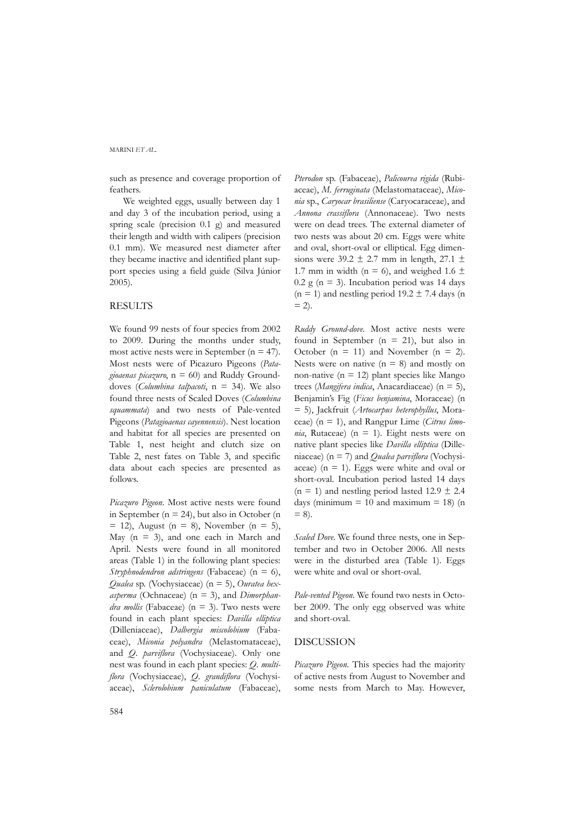such as presence and coverage proportion of feathers.

We weighted eggs, usually between day 1 and day 3 of the incubation period, using a spring scale (precision 0.1 g) and measured their length and width with calipers (precision 0.1 mm). We measured nest diameter after they became inactive and identified plant support species using a field guide (Silva Júnior 2005).

#### **RESULTS**

We found 99 nests of four species from 2002 to 2009. During the months under study, most active nests were in September ( $n = 47$ ). Most nests were of Picazuro Pigeons (*Patagioaenas picazuro*, n = 60) and Ruddy Grounddoves (*Columbina talpacoti*, n = 34). We also found three nests of Scaled Doves (*Columbina squammata*) and two nests of Pale-vented Pigeons (*Patagioaenas cayennensis*). Nest location and habitat for all species are presented on Table 1, nest height and clutch size on Table 2, nest fates on Table 3, and specific data about each species are presented as follows.

*Picazuro Pigeon*. Most active nests were found in September ( $n = 24$ ), but also in October (n  $= 12$ ), August (n = 8), November (n = 5), May  $(n = 3)$ , and one each in March and April. Nests were found in all monitored areas (Table 1) in the following plant species: *Stryphnodendron adstringens* (Fabaceae) (n = 6), *Qualea* sp*.* (Vochysiaceae) (n = 5), *Ouratea hexasperma* (Ochnaceae) (n = 3), and *Dimorphandra mollis* (Fabaceae)  $(n = 3)$ . Two nests were found in each plant species: *Davilla elliptica* (Dilleniaceae), *Dalbergia miscolobium* (Fabaceae), *Miconia polyandra* (Melastomataceae), and *Q. parviflora* (Vochysiaceae). Only one nest was found in each plant species: *Q. multiflora* (Vochysiaceae), *Q. grandiflora* (Vochysiaceae), *Sclerolobium paniculatum* (Fabaceae),

*Pterodon* sp. (Fabaceae), *Palicourea rigida* (Rubiaceae), *M. ferruginata* (Melastomataceae), *Miconia* sp., *Caryocar brasiliense* (Caryocaraceae), and *Annona crassiflora* (Annonaceae). Two nests were on dead trees. The external diameter of two nests was about 20 cm. Eggs were white and oval, short-oval or elliptical. Egg dimensions were  $39.2 \pm 2.7$  mm in length,  $27.1 \pm$ 1.7 mm in width ( $n = 6$ ), and weighed 1.6  $\pm$  $0.2$  g (n = 3). Incubation period was 14 days  $(n = 1)$  and nestling period 19.2  $\pm$  7.4 days (n  $= 2$ ).

*Ruddy Ground-dove*. Most active nests were found in September ( $n = 21$ ), but also in October ( $n = 11$ ) and November ( $n = 2$ ). Nests were on native  $(n = 8)$  and mostly on non-native ( $n = 12$ ) plant species like Mango trees (*Mangifera indica*, Anacardiaceae) (n = 5), Benjamin's Fig (*Ficus benjamina*, Moraceae) (n = 5), Jackfruit (*Artocarpus heterophyllus*, Moraceae) (n = 1), and Rangpur Lime (*Citrus limo* $nia$ , Rutaceae) ( $n = 1$ ). Eight nests were on native plant species like *Davilla elliptica* (Dilleniaceae) (n = 7) and *Qualea parviflora* (Vochysiaceae) ( $n = 1$ ). Eggs were white and oval or short-oval. Incubation period lasted 14 days  $(n = 1)$  and nestling period lasted 12.9  $\pm$  2.4 days (minimum  $= 10$  and maximum  $= 18$ ) (n  $= 8$ ).

*Scaled Dove*. We found three nests, one in September and two in October 2006. All nests were in the disturbed area (Table 1). Eggs were white and oval or short-oval.

*Pale-vented Pigeon*. We found two nests in October 2009. The only egg observed was white and short-oval.

## DISCUSSION

*Picazuro Pigeon*. This species had the majority of active nests from August to November and some nests from March to May. However,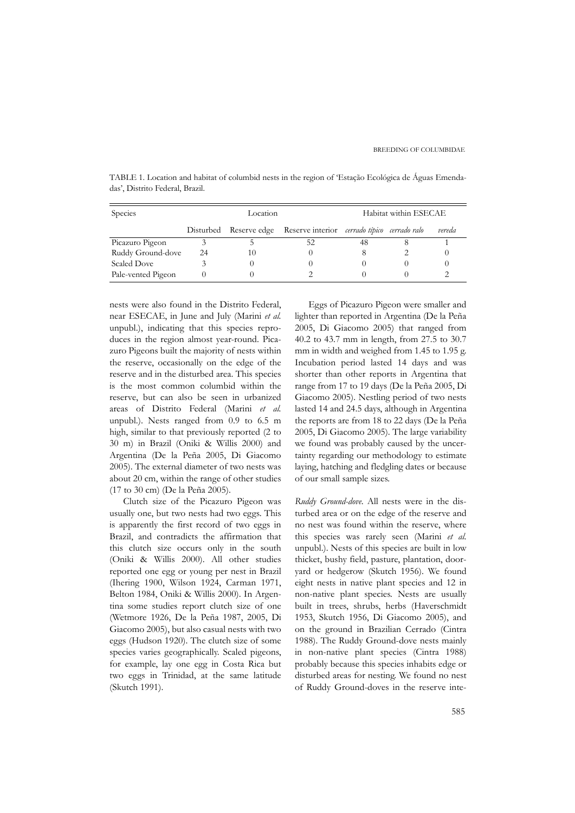| Species            |    | Location               |                                              | Habitat within ESECAE |  |        |
|--------------------|----|------------------------|----------------------------------------------|-----------------------|--|--------|
|                    |    | Disturbed Reserve edge | Reserve interior cerrado típico cerrado ralo |                       |  | vereda |
| Picazuro Pigeon    |    |                        | 52                                           | 48                    |  |        |
| Ruddy Ground-dove  | 24 | 10                     |                                              |                       |  |        |
| <b>Scaled Dove</b> |    |                        |                                              |                       |  |        |
| Pale-vented Pigeon |    |                        |                                              |                       |  |        |

TABLE 1. Location and habitat of columbid nests in the region of 'Estação Ecológica de Águas Emendadas', Distrito Federal, Brazil.

nests were also found in the Distrito Federal, near ESECAE, in June and July (Marini *et al.* unpubl.), indicating that this species reproduces in the region almost year-round. Picazuro Pigeons built the majority of nests within the reserve, occasionally on the edge of the reserve and in the disturbed area. This species is the most common columbid within the reserve, but can also be seen in urbanized areas of Distrito Federal (Marini *et al.* unpubl.). Nests ranged from 0.9 to 6.5 m high, similar to that previously reported (2 to 30 m) in Brazil (Oniki & Willis 2000) and Argentina (De la Peña 2005, Di Giacomo 2005). The external diameter of two nests was about 20 cm, within the range of other studies (17 to 30 cm) (De la Peña 2005).

Clutch size of the Picazuro Pigeon was usually one, but two nests had two eggs. This is apparently the first record of two eggs in Brazil, and contradicts the affirmation that this clutch size occurs only in the south (Oniki & Willis 2000). All other studies reported one egg or young per nest in Brazil (Ihering 1900, Wilson 1924, Carman 1971, Belton 1984, Oniki & Willis 2000). In Argentina some studies report clutch size of one (Wetmore 1926, De la Peña 1987, 2005, Di Giacomo 2005), but also casual nests with two eggs (Hudson 1920). The clutch size of some species varies geographically. Scaled pigeons, for example, lay one egg in Costa Rica but two eggs in Trinidad, at the same latitude (Skutch 1991).

Eggs of Picazuro Pigeon were smaller and lighter than reported in Argentina (De la Peña 2005, Di Giacomo 2005) that ranged from 40.2 to 43.7 mm in length, from 27.5 to 30.7 mm in width and weighed from 1.45 to 1.95 g. Incubation period lasted 14 days and was shorter than other reports in Argentina that range from 17 to 19 days (De la Peña 2005, Di Giacomo 2005). Nestling period of two nests lasted 14 and 24.5 days, although in Argentina the reports are from 18 to 22 days (De la Peña 2005, Di Giacomo 2005). The large variability we found was probably caused by the uncertainty regarding our methodology to estimate laying, hatching and fledgling dates or because of our small sample sizes.

*Ruddy Ground-dove*. All nests were in the disturbed area or on the edge of the reserve and no nest was found within the reserve, where this species was rarely seen (Marini *et al.* unpubl.). Nests of this species are built in low thicket, bushy field, pasture, plantation, dooryard or hedgerow (Skutch 1956). We found eight nests in native plant species and 12 in non-native plant species. Nests are usually built in trees, shrubs, herbs (Haverschmidt 1953, Skutch 1956, Di Giacomo 2005), and on the ground in Brazilian Cerrado (Cintra 1988). The Ruddy Ground-dove nests mainly in non-native plant species (Cintra 1988) probably because this species inhabits edge or disturbed areas for nesting. We found no nest of Ruddy Ground-doves in the reserve inte-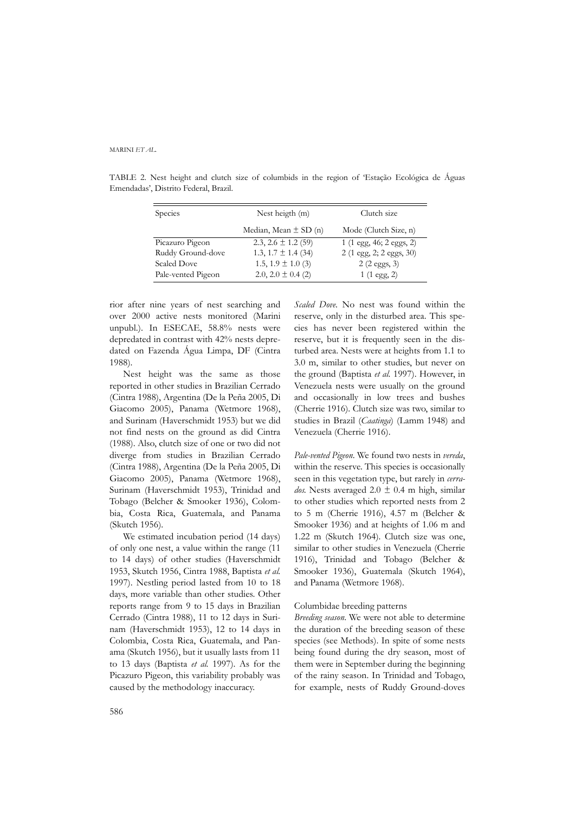| Species            | Nest heigth $(m)$         | Clutch size                               |  |
|--------------------|---------------------------|-------------------------------------------|--|
|                    |                           |                                           |  |
|                    | Median, Mean $\pm$ SD (n) | Mode (Clutch Size, n)                     |  |
| Picazuro Pigeon    | 2.3, 2.6 $\pm$ 1.2 (59)   | $1(1 \text{ egg}, 46; 2 \text{ eggs}, 2)$ |  |
| Ruddy Ground-dove  | 1.3, $1.7 \pm 1.4$ (34)   | $2(1 \text{ egg}, 2; 2 \text{ eggs}, 30)$ |  |
| <b>Scaled Dove</b> | 1.5, $1.9 \pm 1.0$ (3)    | $2(2 \text{ eggs}, 3)$                    |  |
| Pale-vented Pigeon | 2.0, 2.0 $\pm$ 0.4 (2)    | $1(1 \text{ egg}, 2)$                     |  |

TABLE 2. Nest height and clutch size of columbids in the region of 'Estação Ecológica de Águas Emendadas', Distrito Federal, Brazil.

rior after nine years of nest searching and over 2000 active nests monitored (Marini unpubl.). In ESECAE, 58.8% nests were depredated in contrast with 42% nests depredated on Fazenda Água Limpa, DF (Cintra 1988).

Nest height was the same as those reported in other studies in Brazilian Cerrado (Cintra 1988), Argentina (De la Peña 2005, Di Giacomo 2005), Panama (Wetmore 1968), and Surinam (Haverschmidt 1953) but we did not find nests on the ground as did Cintra (1988). Also, clutch size of one or two did not diverge from studies in Brazilian Cerrado (Cintra 1988), Argentina (De la Peña 2005, Di Giacomo 2005), Panama (Wetmore 1968), Surinam (Haverschmidt 1953), Trinidad and Tobago (Belcher & Smooker 1936), Colombia, Costa Rica, Guatemala, and Panama (Skutch 1956).

We estimated incubation period (14 days) of only one nest, a value within the range (11 to 14 days) of other studies (Haverschmidt 1953, Skutch 1956, Cintra 1988, Baptista *et al.* 1997). Nestling period lasted from 10 to 18 days, more variable than other studies. Other reports range from 9 to 15 days in Brazilian Cerrado (Cintra 1988), 11 to 12 days in Surinam (Haverschmidt 1953), 12 to 14 days in Colombia, Costa Rica, Guatemala, and Panama (Skutch 1956), but it usually lasts from 11 to 13 days (Baptista *et al.* 1997). As for the Picazuro Pigeon, this variability probably was caused by the methodology inaccuracy.

*Scaled Dove*. No nest was found within the reserve, only in the disturbed area. This species has never been registered within the reserve, but it is frequently seen in the disturbed area. Nests were at heights from 1.1 to 3.0 m, similar to other studies, but never on the ground (Baptista *et al.* 1997). However, in Venezuela nests were usually on the ground and occasionally in low trees and bushes (Cherrie 1916). Clutch size was two, similar to studies in Brazil (*Caatinga*) (Lamm 1948) and Venezuela (Cherrie 1916).

*Pale-vented Pigeon*. We found two nests in *vereda*, within the reserve. This species is occasionally seen in this vegetation type, but rarely in *cerrados*. Nests averaged  $2.0 \pm 0.4$  m high, similar to other studies which reported nests from 2 to 5 m (Cherrie 1916), 4.57 m (Belcher & Smooker 1936) and at heights of 1.06 m and 1.22 m (Skutch 1964). Clutch size was one, similar to other studies in Venezuela (Cherrie 1916), Trinidad and Tobago (Belcher & Smooker 1936), Guatemala (Skutch 1964), and Panama (Wetmore 1968).

## Columbidae breeding patterns

*Breeding season*. We were not able to determine the duration of the breeding season of these species (see Methods). In spite of some nests being found during the dry season, most of them were in September during the beginning of the rainy season. In Trinidad and Tobago, for example, nests of Ruddy Ground-doves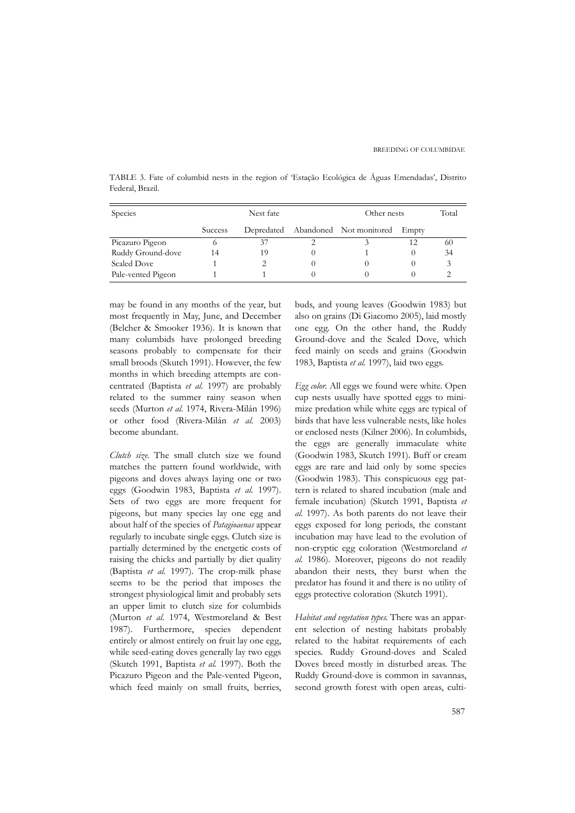TABLE 3. Fate of columbid nests in the region of 'Estação Ecológica de Águas Emendadas', Distrito Federal, Brazil.

| Species            | Nest fate      |    |  | Other nests                        |       | Total |
|--------------------|----------------|----|--|------------------------------------|-------|-------|
|                    | <b>Success</b> |    |  | Depredated Abandoned Not monitored | Empty |       |
| Picazuro Pigeon    | O              | 37 |  |                                    | 12    | 60    |
| Ruddy Ground-dove  | 14             | 19 |  |                                    |       | 34    |
| <b>Scaled Dove</b> |                |    |  |                                    |       |       |
| Pale-vented Pigeon |                |    |  |                                    |       |       |

may be found in any months of the year, but most frequently in May, June, and December (Belcher & Smooker 1936). It is known that many columbids have prolonged breeding seasons probably to compensate for their small broods (Skutch 1991). However, the few months in which breeding attempts are concentrated (Baptista *et al.* 1997) are probably related to the summer rainy season when seeds (Murton *et al.* 1974, Rivera-Milán 1996) or other food (Rivera-Milán *et al.* 2003) become abundant.

*Clutch size*. The small clutch size we found matches the pattern found worldwide, with pigeons and doves always laying one or two eggs (Goodwin 1983, Baptista *et al.* 1997). Sets of two eggs are more frequent for pigeons, but many species lay one egg and about half of the species of *Patagioaenas* appear regularly to incubate single eggs. Clutch size is partially determined by the energetic costs of raising the chicks and partially by diet quality (Baptista *et al.* 1997). The crop-milk phase seems to be the period that imposes the strongest physiological limit and probably sets an upper limit to clutch size for columbids (Murton *et al.* 1974, Westmoreland & Best 1987). Furthermore, species dependent entirely or almost entirely on fruit lay one egg, while seed-eating doves generally lay two eggs (Skutch 1991, Baptista *et al.* 1997). Both the Picazuro Pigeon and the Pale-vented Pigeon, which feed mainly on small fruits, berries,

buds, and young leaves (Goodwin 1983) but also on grains (Di Giacomo 2005), laid mostly one egg. On the other hand, the Ruddy Ground-dove and the Scaled Dove, which feed mainly on seeds and grains (Goodwin 1983, Baptista *et al.* 1997), laid two eggs.

*Egg color.* All eggs we found were white. Open cup nests usually have spotted eggs to minimize predation while white eggs are typical of birds that have less vulnerable nests, like holes or enclosed nests (Kilner 2006). In columbids, the eggs are generally immaculate white (Goodwin 1983, Skutch 1991). Buff or cream eggs are rare and laid only by some species (Goodwin 1983). This conspicuous egg pattern is related to shared incubation (male and female incubation) (Skutch 1991, Baptista *et al.* 1997). As both parents do not leave their eggs exposed for long periods, the constant incubation may have lead to the evolution of non-cryptic egg coloration (Westmoreland *et al.* 1986). Moreover, pigeons do not readily abandon their nests, they burst when the predator has found it and there is no utility of eggs protective coloration (Skutch 1991).

*Habitat and vegetation types*. There was an apparent selection of nesting habitats probably related to the habitat requirements of each species. Ruddy Ground-doves and Scaled Doves breed mostly in disturbed areas. The Ruddy Ground-dove is common in savannas, second growth forest with open areas, culti-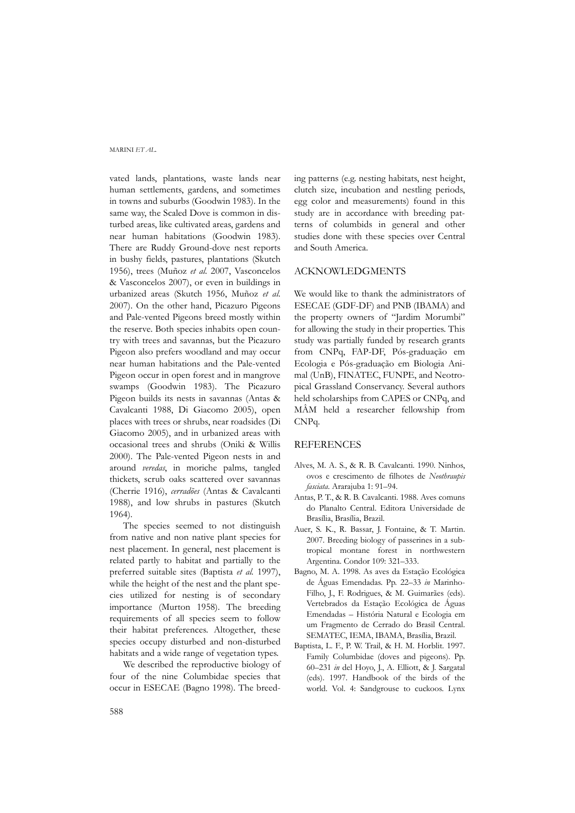vated lands, plantations, waste lands near human settlements, gardens, and sometimes in towns and suburbs (Goodwin 1983). In the same way, the Scaled Dove is common in disturbed areas, like cultivated areas, gardens and near human habitations (Goodwin 1983). There are Ruddy Ground-dove nest reports in bushy fields, pastures, plantations (Skutch 1956), trees (Muñoz *et al*. 2007, Vasconcelos & Vasconcelos 2007), or even in buildings in urbanized areas (Skutch 1956, Muñoz *et al*. 2007). On the other hand, Picazuro Pigeons and Pale-vented Pigeons breed mostly within the reserve. Both species inhabits open country with trees and savannas, but the Picazuro Pigeon also prefers woodland and may occur near human habitations and the Pale-vented Pigeon occur in open forest and in mangrove swamps (Goodwin 1983). The Picazuro Pigeon builds its nests in savannas (Antas & Cavalcanti 1988, Di Giacomo 2005), open places with trees or shrubs, near roadsides (Di Giacomo 2005), and in urbanized areas with occasional trees and shrubs (Oniki & Willis 2000). The Pale-vented Pigeon nests in and around *veredas*, in moriche palms, tangled thickets, scrub oaks scattered over savannas (Cherrie 1916), *cerradões* (Antas & Cavalcanti 1988), and low shrubs in pastures (Skutch 1964).

The species seemed to not distinguish from native and non native plant species for nest placement. In general, nest placement is related partly to habitat and partially to the preferred suitable sites (Baptista *et al.* 1997), while the height of the nest and the plant species utilized for nesting is of secondary importance (Murton 1958). The breeding requirements of all species seem to follow their habitat preferences. Altogether, these species occupy disturbed and non-disturbed habitats and a wide range of vegetation types.

We described the reproductive biology of four of the nine Columbidae species that occur in ESECAE (Bagno 1998). The breed-

ing patterns (e.g. nesting habitats, nest height, clutch size, incubation and nestling periods, egg color and measurements) found in this study are in accordance with breeding patterns of columbids in general and other studies done with these species over Central and South America.

## ACKNOWLEDGMENTS

We would like to thank the administrators of ESECAE (GDF-DF) and PNB (IBAMA) and the property owners of "Jardim Morumbi" for allowing the study in their properties. This study was partially funded by research grants from CNPq, FAP-DF, Pós-graduação em Ecologia e Pós-graduação em Biologia Animal (UnB), FINATEC, FUNPE, and Neotropical Grassland Conservancy. Several authors held scholarships from CAPES or CNPq, and MÂM held a researcher fellowship from CNPq.

## REFERENCES

- Alves, M. A. S., & R. B. Cavalcanti. 1990. Ninhos, ovos e crescimento de filhotes de *Neothraupis fasciata*. Ararajuba 1: 91–94.
- Antas, P. T., & R. B. Cavalcanti. 1988. Aves comuns do Planalto Central. Editora Universidade de Brasília, Brasília, Brazil.
- Auer, S. K., R. Bassar, J. Fontaine, & T. Martin. 2007. Breeding biology of passerines in a subtropical montane forest in northwestern Argentina. Condor 109: 321–333.
- Bagno, M. A. 1998. As aves da Estação Ecológica de Águas Emendadas. Pp. 22–33 *in* Marinho-Filho, J., F. Rodrigues, & M. Guimarães (eds). Vertebrados da Estação Ecológica de Águas Emendadas – História Natural e Ecologia em um Fragmento de Cerrado do Brasil Central. SEMATEC, IEMA, IBAMA, Brasília, Brazil.
- Baptista, L. F., P. W. Trail, & H. M. Horblit. 1997. Family Columbidae (doves and pigeons). Pp. 60–231 *in* del Hoyo, J., A. Elliott, & J. Sargatal (eds). 1997. Handbook of the birds of the world. Vol. 4: Sandgrouse to cuckoos. Lynx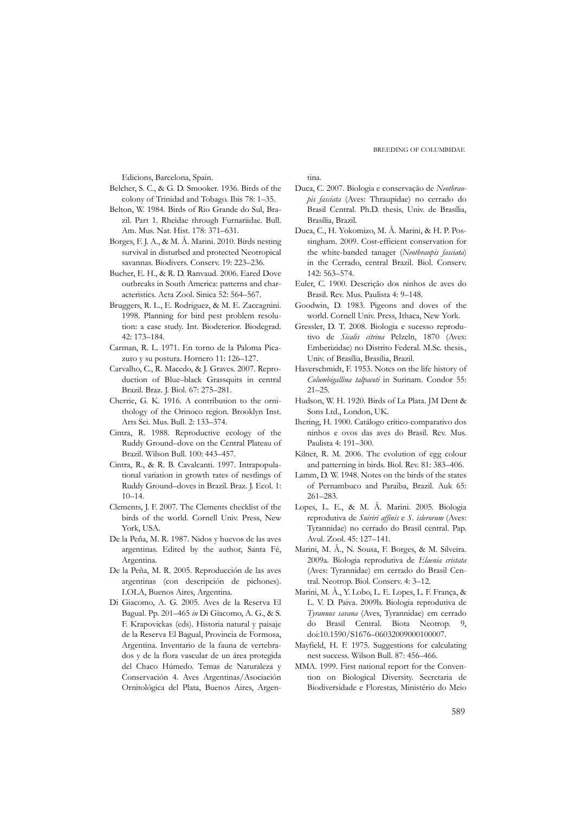Edicions, Barcelona, Spain.

- Belcher, S. C., & G. D. Smooker. 1936. Birds of the colony of Trinidad and Tobago. Ibis 78: 1–35.
- Belton, W. 1984. Birds of Rio Grande do Sul, Brazil. Part 1. Rheidae through Furnariidae. Bull. Am. Mus. Nat. Hist. 178: 371–631.
- Borges, F. J. A., & M. Â. Marini. 2010. Birds nesting survival in disturbed and protected Neotropical savannas. Biodivers. Conserv. 19: 223–236.
- Bucher, E. H., & R. D. Ranvaud. 2006. Eared Dove outbreaks in South America: patterns and characteristics. Acta Zool. Sinica 52: 564–567.
- Bruggers, R. L., E. Rodriguez, & M. E. Zaccagnini. 1998. Planning for bird pest problem resolution: a case study. Int. Biodeterior. Biodegrad. 42: 173–184.
- Carman, R. L. 1971. En torno de la Paloma Picazuro y su postura. Hornero 11: 126–127.
- Carvalho, C., R. Macedo, & J. Graves. 2007. Reproduction of Blue–black Grassquits in central Brazil. Braz. J. Biol. 67: 275–281.
- Cherrie, G. K. 1916. A contribution to the ornithology of the Orinoco region. Brooklyn Inst. Arts Sci. Mus. Bull. 2: 133–374.
- Cintra, R. 1988. Reproductive ecology of the Ruddy Ground–dove on the Central Plateau of Brazil. Wilson Bull. 100: 443–457.
- Cintra, R., & R. B. Cavalcanti. 1997. Intrapopulational variation in growth rates of nestlings of Ruddy Ground–doves in Brazil. Braz. J. Ecol. 1: 10–14.
- Clements, J. F. 2007. The Clements checklist of the birds of the world*.* Cornell Univ. Press, New York, USA.
- De la Peña, M. R. 1987. Nidos y huevos de las aves argentinas. Edited by the author, Santa Fé, Argentina.
- De la Peña, M. R. 2005. Reproducción de las aves argentinas (con descripción de pichones). LOLA, Buenos Aires, Argentina.
- Di Giacomo, A. G. 2005. Aves de la Reserva El Bagual. Pp. 201–465 *in* Di Giacomo, A. G., & S. F. Krapovickas (eds). Historia natural y paisaje de la Reserva El Bagual, Provincia de Formosa, Argentina. Inventario de la fauna de vertebrados y de la flora vascular de un área protegida del Chaco Húmedo. Temas de Naturaleza y Conservación 4. Aves Argentinas/Asociación Ornitológica del Plata, Buenos Aires, Argen-

tina.

- Duca, C. 2007. Biologia e conservação de *Neothraupis fasciata* (Aves: Thraupidae) no cerrado do Brasil Central. Ph.D. thesis, Univ. de Brasília, Brasília, Brazil.
- Duca, C., H. Yokomizo, M. Â. Marini, & H. P. Possingham. 2009. Cost-efficient conservation for the white-banded tanager (*Neothraupis fasciata*) in the Cerrado, central Brazil. Biol. Conserv. 142: 563–574.
- Euler, C. 1900. Descrição dos ninhos de aves do Brasil. Rev. Mus. Paulista 4: 9–148.
- Goodwin, D. 1983. Pigeons and doves of the world. Cornell Univ. Press, Ithaca, New York.
- Gressler, D. T. 2008. Biologia e sucesso reprodutivo de *Sicalis citrina* Pelzeln, 1870 (Aves: Emberizidae) no Distrito Federal. M.Sc. thesis., Univ. of Brasília, Brasília, Brazil.
- Haverschmidt, F. 1953. Notes on the life history of *Columbigallina talpacoti* in Surinam. Condor 55: 21–25.
- Hudson, W. H. 1920. Birds of La Plata. JM Dent & Sons Ltd., London, UK.
- Ihering, H. 1900. Catálogo crítico-comparativo dos ninhos e ovos das aves do Brasil. Rev. Mus. Paulista 4: 191–300.
- Kilner, R. M. 2006. The evolution of egg colour and patterning in birds. Biol. Rev. 81: 383–406.
- Lamm, D. W. 1948. Notes on the birds of the states of Pernambuco and Paraiba, Brazil. Auk 65: 261–283.
- Lopes, L. E., & M. Â. Marini. 2005. Biologia reprodutiva de *Suiriri affinis* e *S. islerorum* (Aves: Tyrannidae) no cerrado do Brasil central. Pap. Avul. Zool. 45: 127–141.
- Marini, M. Â., N. Sousa, F. Borges, & M. Silveira. 2009a. Biologia reprodutiva de *Elaenia cristata* (Aves: Tyrannidae) em cerrado do Brasil Central. Neotrop. Biol. Conserv. 4: 3–12.
- Marini, M. Â., Y. Lobo, L. E. Lopes, L. F. França, & L. V. D. Paiva. 2009b. Biologia reprodutiva de *Tyrannus savana* (Aves, Tyrannidae) em cerrado do Brasil Central. Biota Neotrop. 9, doi:10.1590/S1676–06032009000100007.
- Mayfield, H. F. 1975. Suggestions for calculating nest success. Wilson Bull. 87: 456–466.
- MMA. 1999. First national report for the Convention on Biological Diversity. Secretaria de Biodiversidade e Florestas, Ministério do Meio